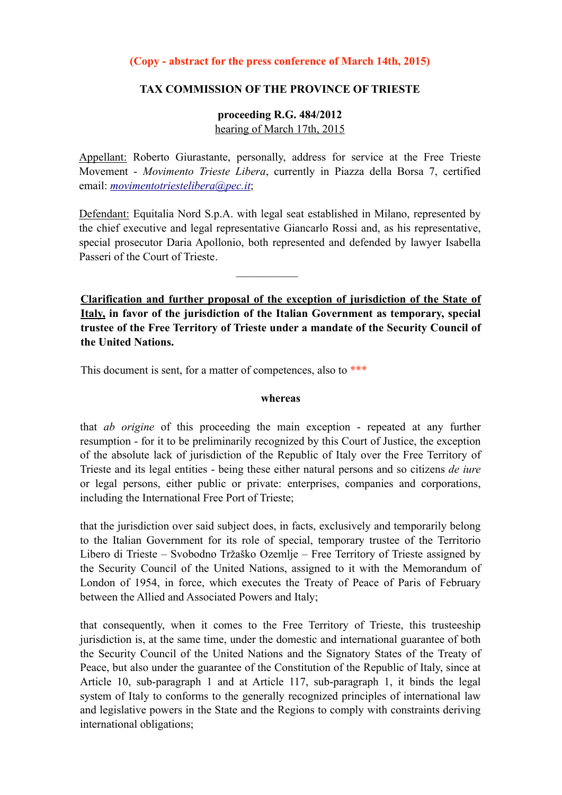# **(Copy - abstract for the press conference of March 14th, 2015)**

# **TAX COMMISSION OF THE PROVINCE OF TRIESTE**

# **proceeding R.G. 484/2012** hearing of March 17th, 2015

Appellant: Roberto Giurastante, personally, address for service at the Free Trieste Movement - *Movimento Trieste Libera*, currently in Piazza della Borsa 7, certified email: *[movimentotriestelibera@pec.it](mailto:movimentotriestelibera@pec.it)*;

Defendant: Equitalia Nord S.p.A. with legal seat established in Milano, represented by the chief executive and legal representative Giancarlo Rossi and, as his representative, special prosecutor Daria Apollonio, both represented and defended by lawyer Isabella Passeri of the Court of Trieste.

 $\frac{1}{2}$ 

**Clarification and further proposal of the exception of jurisdiction of the State of Italy, in favor of the jurisdiction of the Italian Government as temporary, special trustee of the Free Territory of Trieste under a mandate of the Security Council of the United Nations.**

This document is sent, for a matter of competences, also to \*\*\*

#### **whereas**

that *ab origine* of this proceeding the main exception - repeated at any further resumption - for it to be preliminarily recognized by this Court of Justice, the exception of the absolute lack of jurisdiction of the Republic of Italy over the Free Territory of Trieste and its legal entities - being these either natural persons and so citizens *de iure* or legal persons, either public or private: enterprises, companies and corporations, including the International Free Port of Trieste;

that the jurisdiction over said subject does, in facts, exclusively and temporarily belong to the Italian Government for its role of special, temporary trustee of the Territorio Libero di Trieste – Svobodno Tržaško Ozemlje – Free Territory of Trieste assigned by the Security Council of the United Nations, assigned to it with the Memorandum of London of 1954, in force, which executes the Treaty of Peace of Paris of February between the Allied and Associated Powers and Italy;

that consequently, when it comes to the Free Territory of Trieste, this trusteeship jurisdiction is, at the same time, under the domestic and international guarantee of both the Security Council of the United Nations and the Signatory States of the Treaty of Peace, but also under the guarantee of the Constitution of the Republic of Italy, since at Article 10, sub-paragraph 1 and at Article 117, sub-paragraph 1, it binds the legal system of Italy to conforms to the generally recognized principles of international law and legislative powers in the State and the Regions to comply with constraints deriving international obligations;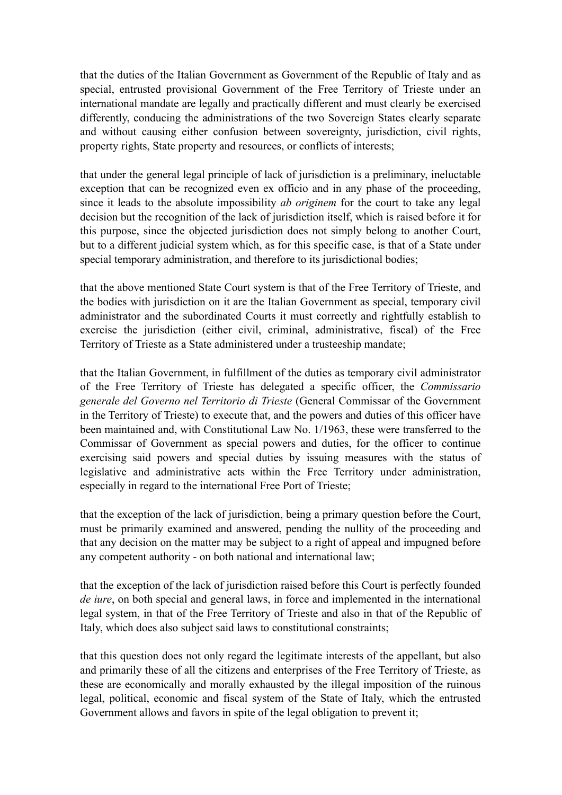that the duties of the Italian Government as Government of the Republic of Italy and as special, entrusted provisional Government of the Free Territory of Trieste under an international mandate are legally and practically different and must clearly be exercised differently, conducing the administrations of the two Sovereign States clearly separate and without causing either confusion between sovereignty, jurisdiction, civil rights, property rights, State property and resources, or conflicts of interests;

that under the general legal principle of lack of jurisdiction is a preliminary, ineluctable exception that can be recognized even ex officio and in any phase of the proceeding, since it leads to the absolute impossibility *ab originem* for the court to take any legal decision but the recognition of the lack of jurisdiction itself, which is raised before it for this purpose, since the objected jurisdiction does not simply belong to another Court, but to a different judicial system which, as for this specific case, is that of a State under special temporary administration, and therefore to its jurisdictional bodies;

that the above mentioned State Court system is that of the Free Territory of Trieste, and the bodies with jurisdiction on it are the Italian Government as special, temporary civil administrator and the subordinated Courts it must correctly and rightfully establish to exercise the jurisdiction (either civil, criminal, administrative, fiscal) of the Free Territory of Trieste as a State administered under a trusteeship mandate;

that the Italian Government, in fulfillment of the duties as temporary civil administrator of the Free Territory of Trieste has delegated a specific officer, the *Commissario generale del Governo nel Territorio di Trieste* (General Commissar of the Government in the Territory of Trieste) to execute that, and the powers and duties of this officer have been maintained and, with Constitutional Law No. 1/1963, these were transferred to the Commissar of Government as special powers and duties, for the officer to continue exercising said powers and special duties by issuing measures with the status of legislative and administrative acts within the Free Territory under administration, especially in regard to the international Free Port of Trieste;

that the exception of the lack of jurisdiction, being a primary question before the Court, must be primarily examined and answered, pending the nullity of the proceeding and that any decision on the matter may be subject to a right of appeal and impugned before any competent authority - on both national and international law;

that the exception of the lack of jurisdiction raised before this Court is perfectly founded *de iure*, on both special and general laws, in force and implemented in the international legal system, in that of the Free Territory of Trieste and also in that of the Republic of Italy, which does also subject said laws to constitutional constraints;

that this question does not only regard the legitimate interests of the appellant, but also and primarily these of all the citizens and enterprises of the Free Territory of Trieste, as these are economically and morally exhausted by the illegal imposition of the ruinous legal, political, economic and fiscal system of the State of Italy, which the entrusted Government allows and favors in spite of the legal obligation to prevent it;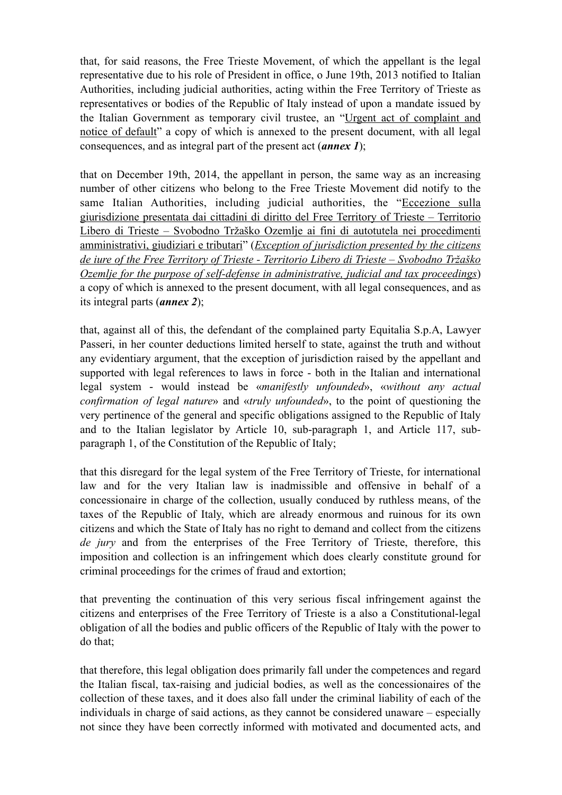that, for said reasons, the Free Trieste Movement, of which the appellant is the legal representative due to his role of President in office, o June 19th, 2013 notified to Italian Authorities, including judicial authorities, acting within the Free Territory of Trieste as representatives or bodies of the Republic of Italy instead of upon a mandate issued by the Italian Government as temporary civil trustee, an "Urgent act of complaint and notice of default" a copy of which is annexed to the present document, with all legal consequences, and as integral part of the present act (*annex 1*);

that on December 19th, 2014, the appellant in person, the same way as an increasing number of other citizens who belong to the Free Trieste Movement did notify to the same Italian Authorities, including judicial authorities, the "Eccezione sulla giurisdizione presentata dai cittadini di diritto del Free Territory of Trieste – Territorio Libero di Trieste – Svobodno Tržaško Ozemlje ai fini di autotutela nei procedimenti amministrativi, giudiziari e tributari" (*Exception of jurisdiction presented by the citizens de iure of the Free Territory of Trieste - Territorio Libero di Trieste – Svobodno Tržaško Ozemlje for the purpose of self-defense in administrative, judicial and tax proceedings*) a copy of which is annexed to the present document, with all legal consequences, and as its integral parts (*annex 2*);

that, against all of this, the defendant of the complained party Equitalia S.p.A, Lawyer Passeri, in her counter deductions limited herself to state, against the truth and without any evidentiary argument, that the exception of jurisdiction raised by the appellant and supported with legal references to laws in force - both in the Italian and international legal system - would instead be «*manifestly unfounded*», «*without any actual confirmation of legal nature*» and «*truly unfounded*», to the point of questioning the very pertinence of the general and specific obligations assigned to the Republic of Italy and to the Italian legislator by Article 10, sub-paragraph 1, and Article 117, subparagraph 1, of the Constitution of the Republic of Italy;

that this disregard for the legal system of the Free Territory of Trieste, for international law and for the very Italian law is inadmissible and offensive in behalf of a concessionaire in charge of the collection, usually conduced by ruthless means, of the taxes of the Republic of Italy, which are already enormous and ruinous for its own citizens and which the State of Italy has no right to demand and collect from the citizens *de jury* and from the enterprises of the Free Territory of Trieste, therefore, this imposition and collection is an infringement which does clearly constitute ground for criminal proceedings for the crimes of fraud and extortion;

that preventing the continuation of this very serious fiscal infringement against the citizens and enterprises of the Free Territory of Trieste is a also a Constitutional-legal obligation of all the bodies and public officers of the Republic of Italy with the power to do that;

that therefore, this legal obligation does primarily fall under the competences and regard the Italian fiscal, tax-raising and judicial bodies, as well as the concessionaires of the collection of these taxes, and it does also fall under the criminal liability of each of the individuals in charge of said actions, as they cannot be considered unaware – especially not since they have been correctly informed with motivated and documented acts, and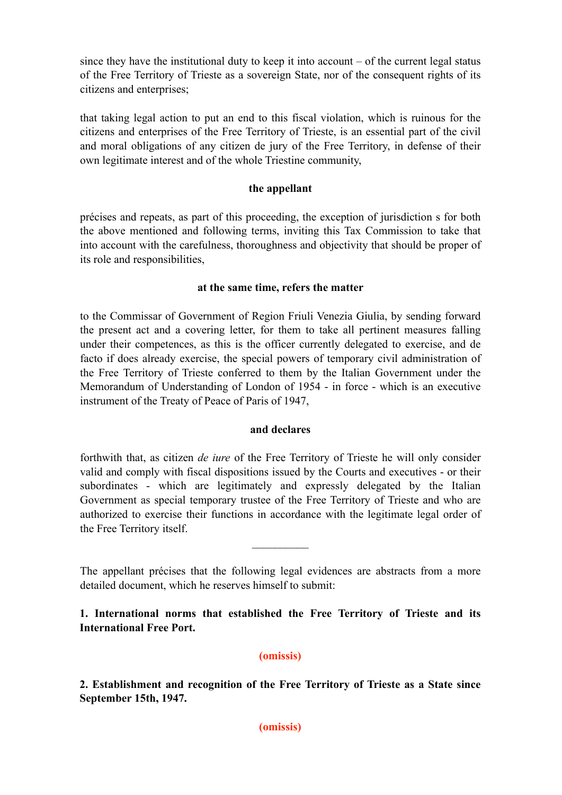since they have the institutional duty to keep it into account – of the current legal status of the Free Territory of Trieste as a sovereign State, nor of the consequent rights of its citizens and enterprises;

that taking legal action to put an end to this fiscal violation, which is ruinous for the citizens and enterprises of the Free Territory of Trieste, is an essential part of the civil and moral obligations of any citizen de jury of the Free Territory, in defense of their own legitimate interest and of the whole Triestine community,

# **the appellant**

précises and repeats, as part of this proceeding, the exception of jurisdiction s for both the above mentioned and following terms, inviting this Tax Commission to take that into account with the carefulness, thoroughness and objectivity that should be proper of its role and responsibilities,

# **at the same time, refers the matter**

to the Commissar of Government of Region Friuli Venezia Giulia, by sending forward the present act and a covering letter, for them to take all pertinent measures falling under their competences, as this is the officer currently delegated to exercise, and de facto if does already exercise, the special powers of temporary civil administration of the Free Territory of Trieste conferred to them by the Italian Government under the Memorandum of Understanding of London of 1954 - in force - which is an executive instrument of the Treaty of Peace of Paris of 1947,

# **and declares**

forthwith that, as citizen *de iure* of the Free Territory of Trieste he will only consider valid and comply with fiscal dispositions issued by the Courts and executives - or their subordinates - which are legitimately and expressly delegated by the Italian Government as special temporary trustee of the Free Territory of Trieste and who are authorized to exercise their functions in accordance with the legitimate legal order of the Free Territory itself.

The appellant précises that the following legal evidences are abstracts from a more detailed document, which he reserves himself to submit:

 $\mathcal{L}_\text{max}$ 

# **1. International norms that established the Free Territory of Trieste and its International Free Port.**

# **(omissis)**

**2. Establishment and recognition of the Free Territory of Trieste as a State since September 15th, 1947.**

**(omissis)**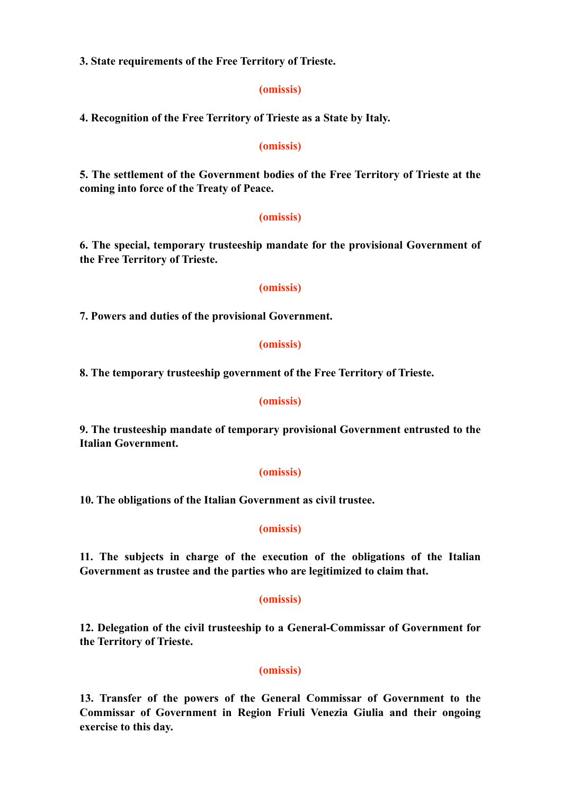**3. State requirements of the Free Territory of Trieste.**

### **(omissis)**

**4. Recognition of the Free Territory of Trieste as a State by Italy.**

### **(omissis)**

**5. The settlement of the Government bodies of the Free Territory of Trieste at the coming into force of the Treaty of Peace.**

#### **(omissis)**

**6. The special, temporary trusteeship mandate for the provisional Government of the Free Territory of Trieste.**

### **(omissis)**

**7. Powers and duties of the provisional Government.**

### **(omissis)**

**8. The temporary trusteeship government of the Free Territory of Trieste.**

### **(omissis)**

**9. The trusteeship mandate of temporary provisional Government entrusted to the Italian Government.**

#### **(omissis)**

**10. The obligations of the Italian Government as civil trustee.**

#### **(omissis)**

**11. The subjects in charge of the execution of the obligations of the Italian Government as trustee and the parties who are legitimized to claim that.**

### **(omissis)**

**12. Delegation of the civil trusteeship to a General-Commissar of Government for the Territory of Trieste.**

# **(omissis)**

**13. Transfer of the powers of the General Commissar of Government to the Commissar of Government in Region Friuli Venezia Giulia and their ongoing exercise to this day.**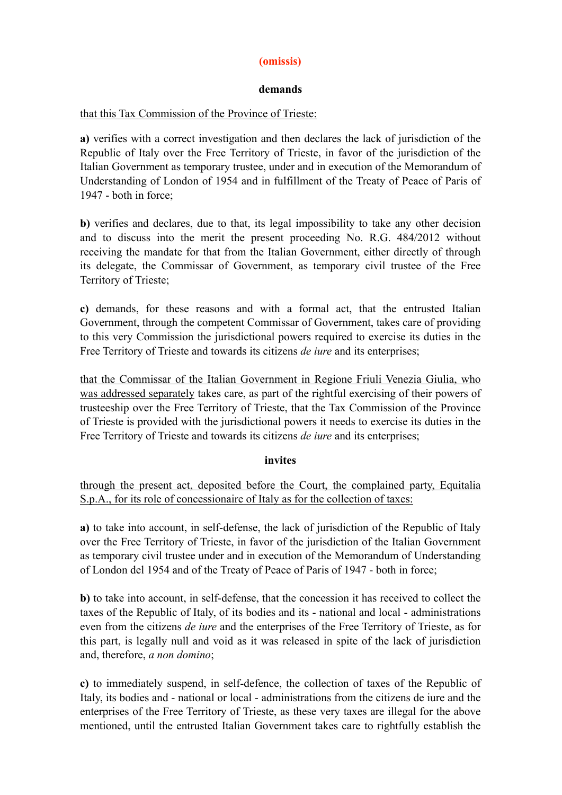# **(omissis)**

# **demands**

# that this Tax Commission of the Province of Trieste:

**a)** verifies with a correct investigation and then declares the lack of jurisdiction of the Republic of Italy over the Free Territory of Trieste, in favor of the jurisdiction of the Italian Government as temporary trustee, under and in execution of the Memorandum of Understanding of London of 1954 and in fulfillment of the Treaty of Peace of Paris of 1947 - both in force;

**b)** verifies and declares, due to that, its legal impossibility to take any other decision and to discuss into the merit the present proceeding No. R.G. 484/2012 without receiving the mandate for that from the Italian Government, either directly of through its delegate, the Commissar of Government, as temporary civil trustee of the Free Territory of Trieste;

**c)** demands, for these reasons and with a formal act, that the entrusted Italian Government, through the competent Commissar of Government, takes care of providing to this very Commission the jurisdictional powers required to exercise its duties in the Free Territory of Trieste and towards its citizens *de iure* and its enterprises;

that the Commissar of the Italian Government in Regione Friuli Venezia Giulia, who was addressed separately takes care, as part of the rightful exercising of their powers of trusteeship over the Free Territory of Trieste, that the Tax Commission of the Province of Trieste is provided with the jurisdictional powers it needs to exercise its duties in the Free Territory of Trieste and towards its citizens *de iure* and its enterprises;

# **invites**

through the present act, deposited before the Court, the complained party, Equitalia S.p.A., for its role of concessionaire of Italy as for the collection of taxes:

**a)** to take into account, in self-defense, the lack of jurisdiction of the Republic of Italy over the Free Territory of Trieste, in favor of the jurisdiction of the Italian Government as temporary civil trustee under and in execution of the Memorandum of Understanding of London del 1954 and of the Treaty of Peace of Paris of 1947 - both in force;

**b)** to take into account, in self-defense, that the concession it has received to collect the taxes of the Republic of Italy, of its bodies and its - national and local - administrations even from the citizens *de iure* and the enterprises of the Free Territory of Trieste, as for this part, is legally null and void as it was released in spite of the lack of jurisdiction and, therefore, *a non domino*;

**c)** to immediately suspend, in self-defence, the collection of taxes of the Republic of Italy, its bodies and - national or local - administrations from the citizens de iure and the enterprises of the Free Territory of Trieste, as these very taxes are illegal for the above mentioned, until the entrusted Italian Government takes care to rightfully establish the